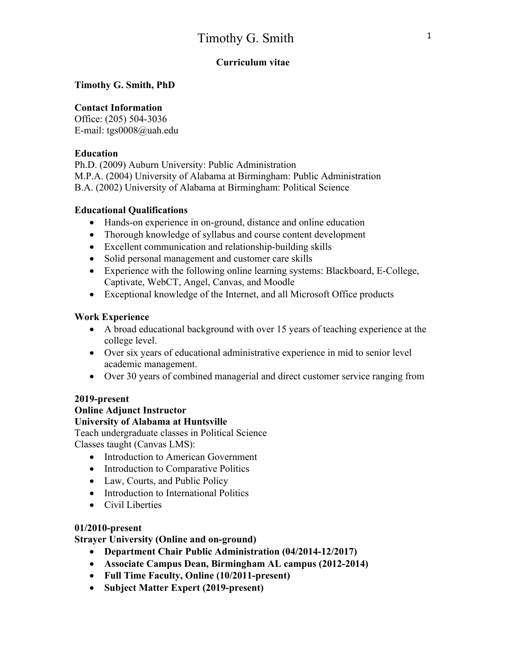# **Curriculum vitae**

**Timothy G. Smith, PhD** 

## **Contact Information**

Office: (205) 504-3036 E-mail: tgs0008@uah.edu

#### **Education**

Ph.D. (2009) Auburn University: Public Administration M.P.A. (2004) University of Alabama at Birmingham: Public Administration B.A. (2002) University of Alabama at Birmingham: Political Science

#### **Educational Qualifications**

- Hands-on experience in on-ground, distance and online education
- Thorough knowledge of syllabus and course content development
- Excellent communication and relationship-building skills
- Solid personal management and customer care skills
- Experience with the following online learning systems: Blackboard, E-College, Captivate, WebCT, Angel, Canvas, and Moodle
- Exceptional knowledge of the Internet, and all Microsoft Office products

#### **Work Experience**

- A broad educational background with over 15 years of teaching experience at the college level.
- Over six years of educational administrative experience in mid to senior level academic management.
- Over 30 years of combined managerial and direct customer service ranging from

#### **2019-present**

# **Online Adjunct Instructor**

#### **University of Alabama at Huntsville**

Teach undergraduate classes in Political Science Classes taught (Canvas LMS):

- Introduction to American Government
- Introduction to Comparative Politics
- Law, Courts, and Public Policy
- Introduction to International Politics
- Civil Liberties

#### **01/2010-present**

# **Strayer University (Online and on-ground)**

- **Department Chair Public Administration (04/2014-12/2017)**
- **Associate Campus Dean, Birmingham AL campus (2012-2014)**
- **Full Time Faculty, Online (10/2011-present)**
- **Subject Matter Expert (2019-present)**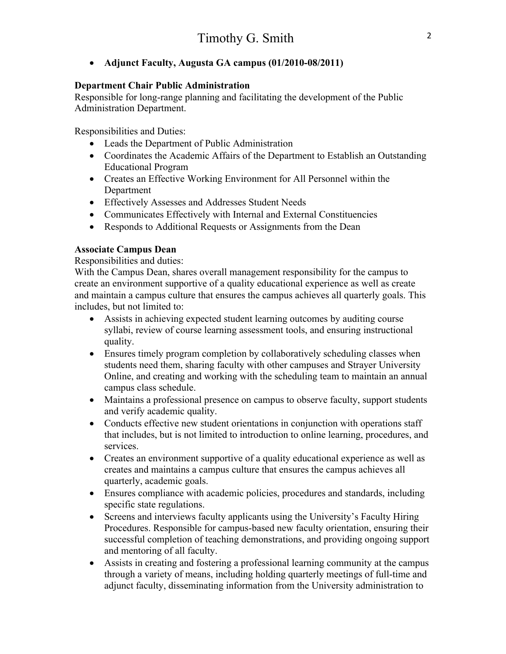#### • **Adjunct Faculty, Augusta GA campus (01/2010-08/2011)**

#### **Department Chair Public Administration**

Responsible for long-range planning and facilitating the development of the Public Administration Department.

Responsibilities and Duties:

- Leads the Department of Public Administration
- Coordinates the Academic Affairs of the Department to Establish an Outstanding Educational Program
- Creates an Effective Working Environment for All Personnel within the Department
- Effectively Assesses and Addresses Student Needs
- Communicates Effectively with Internal and External Constituencies
- Responds to Additional Requests or Assignments from the Dean

#### **Associate Campus Dean**

Responsibilities and duties:

With the Campus Dean, shares overall management responsibility for the campus to create an environment supportive of a quality educational experience as well as create and maintain a campus culture that ensures the campus achieves all quarterly goals. This includes, but not limited to:

- Assists in achieving expected student learning outcomes by auditing course syllabi, review of course learning assessment tools, and ensuring instructional quality.
- Ensures timely program completion by collaboratively scheduling classes when students need them, sharing faculty with other campuses and Strayer University Online, and creating and working with the scheduling team to maintain an annual campus class schedule.
- Maintains a professional presence on campus to observe faculty, support students and verify academic quality.
- Conducts effective new student orientations in conjunction with operations staff that includes, but is not limited to introduction to online learning, procedures, and services.
- Creates an environment supportive of a quality educational experience as well as creates and maintains a campus culture that ensures the campus achieves all quarterly, academic goals.
- Ensures compliance with academic policies, procedures and standards, including specific state regulations.
- Screens and interviews faculty applicants using the University's Faculty Hiring Procedures. Responsible for campus-based new faculty orientation, ensuring their successful completion of teaching demonstrations, and providing ongoing support and mentoring of all faculty.
- Assists in creating and fostering a professional learning community at the campus through a variety of means, including holding quarterly meetings of full-time and adjunct faculty, disseminating information from the University administration to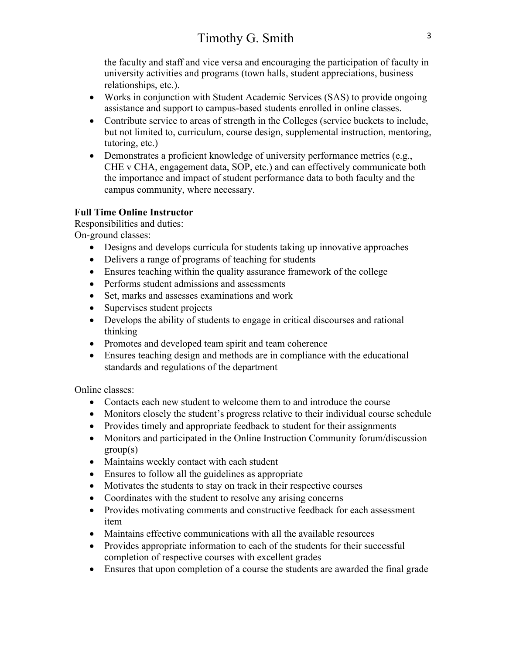the faculty and staff and vice versa and encouraging the participation of faculty in university activities and programs (town halls, student appreciations, business relationships, etc.).

- Works in conjunction with Student Academic Services (SAS) to provide ongoing assistance and support to campus-based students enrolled in online classes.
- Contribute service to areas of strength in the Colleges (service buckets to include, but not limited to, curriculum, course design, supplemental instruction, mentoring, tutoring, etc.)
- Demonstrates a proficient knowledge of university performance metrics (e.g., CHE v CHA, engagement data, SOP, etc.) and can effectively communicate both the importance and impact of student performance data to both faculty and the campus community, where necessary.

# **Full Time Online Instructor**

Responsibilities and duties:

On-ground classes:

- Designs and develops curricula for students taking up innovative approaches
- Delivers a range of programs of teaching for students
- Ensures teaching within the quality assurance framework of the college
- Performs student admissions and assessments
- Set, marks and assesses examinations and work
- Supervises student projects
- Develops the ability of students to engage in critical discourses and rational thinking
- Promotes and developed team spirit and team coherence
- Ensures teaching design and methods are in compliance with the educational standards and regulations of the department

Online classes:

- Contacts each new student to welcome them to and introduce the course
- Monitors closely the student's progress relative to their individual course schedule
- Provides timely and appropriate feedback to student for their assignments
- Monitors and participated in the Online Instruction Community forum/discussion  $group(s)$
- Maintains weekly contact with each student
- Ensures to follow all the guidelines as appropriate
- Motivates the students to stay on track in their respective courses
- Coordinates with the student to resolve any arising concerns
- Provides motivating comments and constructive feedback for each assessment item
- Maintains effective communications with all the available resources
- Provides appropriate information to each of the students for their successful completion of respective courses with excellent grades
- Ensures that upon completion of a course the students are awarded the final grade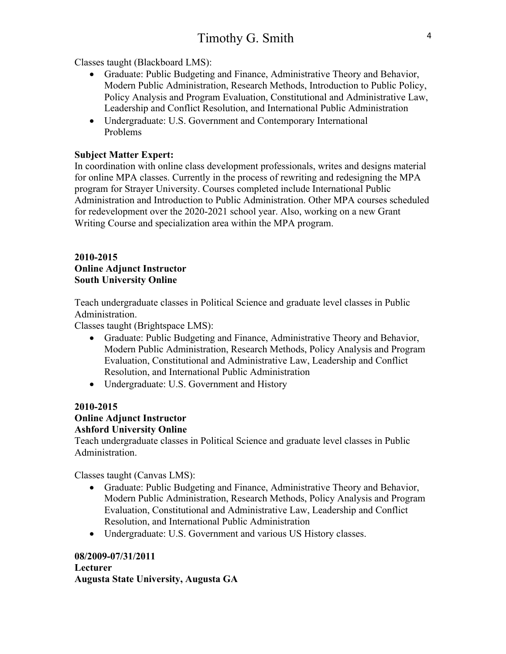Classes taught (Blackboard LMS):

- Graduate: Public Budgeting and Finance, Administrative Theory and Behavior, Modern Public Administration, Research Methods, Introduction to Public Policy, Policy Analysis and Program Evaluation, Constitutional and Administrative Law, Leadership and Conflict Resolution, and International Public Administration
- Undergraduate: U.S. Government and Contemporary International Problems

#### **Subject Matter Expert:**

In coordination with online class development professionals, writes and designs material for online MPA classes. Currently in the process of rewriting and redesigning the MPA program for Strayer University. Courses completed include International Public Administration and Introduction to Public Administration. Other MPA courses scheduled for redevelopment over the 2020-2021 school year. Also, working on a new Grant Writing Course and specialization area within the MPA program.

#### **2010-2015 Online Adjunct Instructor South University Online**

Teach undergraduate classes in Political Science and graduate level classes in Public Administration.

Classes taught (Brightspace LMS):

- Graduate: Public Budgeting and Finance, Administrative Theory and Behavior, Modern Public Administration, Research Methods, Policy Analysis and Program Evaluation, Constitutional and Administrative Law, Leadership and Conflict Resolution, and International Public Administration
- Undergraduate: U.S. Government and History

# **2010-2015**

# **Online Adjunct Instructor**

# **Ashford University Online**

Teach undergraduate classes in Political Science and graduate level classes in Public Administration.

Classes taught (Canvas LMS):

- Graduate: Public Budgeting and Finance, Administrative Theory and Behavior, Modern Public Administration, Research Methods, Policy Analysis and Program Evaluation, Constitutional and Administrative Law, Leadership and Conflict Resolution, and International Public Administration
- Undergraduate: U.S. Government and various US History classes.

#### **08/2009-07/31/2011 Lecturer Augusta State University, Augusta GA**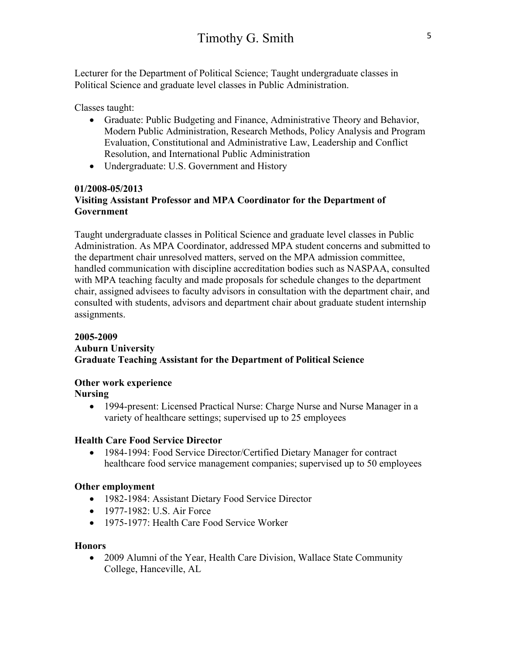Lecturer for the Department of Political Science; Taught undergraduate classes in Political Science and graduate level classes in Public Administration.

Classes taught:

- Graduate: Public Budgeting and Finance, Administrative Theory and Behavior, Modern Public Administration, Research Methods, Policy Analysis and Program Evaluation, Constitutional and Administrative Law, Leadership and Conflict Resolution, and International Public Administration
- Undergraduate: U.S. Government and History

#### **01/2008-05/2013 Visiting Assistant Professor and MPA Coordinator for the Department of Government**

Taught undergraduate classes in Political Science and graduate level classes in Public Administration. As MPA Coordinator, addressed MPA student concerns and submitted to the department chair unresolved matters, served on the MPA admission committee, handled communication with discipline accreditation bodies such as NASPAA, consulted with MPA teaching faculty and made proposals for schedule changes to the department chair, assigned advisees to faculty advisors in consultation with the department chair, and consulted with students, advisors and department chair about graduate student internship assignments.

#### **2005-2009 Auburn University Graduate Teaching Assistant for the Department of Political Science**

# **Other work experience**

**Nursing**

• 1994-present: Licensed Practical Nurse: Charge Nurse and Nurse Manager in a variety of healthcare settings; supervised up to 25 employees

# **Health Care Food Service Director**

• 1984-1994: Food Service Director/Certified Dietary Manager for contract healthcare food service management companies; supervised up to 50 employees

# **Other employment**

- 1982-1984: Assistant Dietary Food Service Director
- 1977-1982: U.S. Air Force
- 1975-1977: Health Care Food Service Worker

#### **Honors**

• 2009 Alumni of the Year, Health Care Division, Wallace State Community College, Hanceville, AL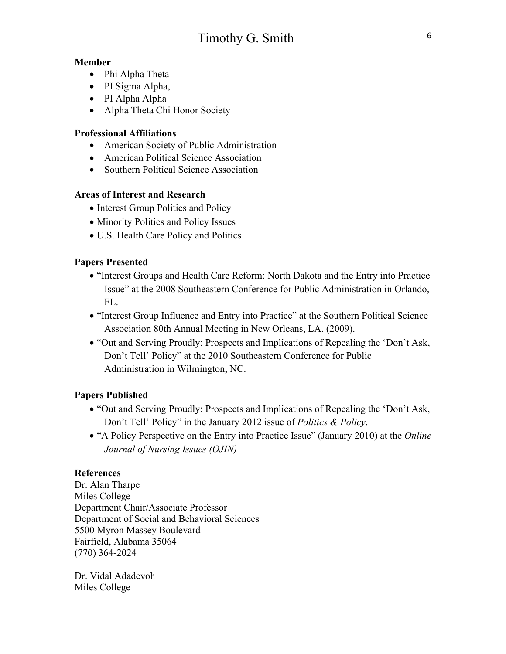# **Member**

- Phi Alpha Theta
- PI Sigma Alpha,
- PI Alpha Alpha
- Alpha Theta Chi Honor Society

# **Professional Affiliations**

- American Society of Public Administration
- American Political Science Association
- Southern Political Science Association

# **Areas of Interest and Research**

- Interest Group Politics and Policy
- Minority Politics and Policy Issues
- U.S. Health Care Policy and Politics

# **Papers Presented**

- "Interest Groups and Health Care Reform: North Dakota and the Entry into Practice Issue" at the 2008 Southeastern Conference for Public Administration in Orlando, FL.
- "Interest Group Influence and Entry into Practice" at the Southern Political Science Association 80th Annual Meeting in New Orleans, LA. (2009).
- "Out and Serving Proudly: Prospects and Implications of Repealing the 'Don't Ask, Don't Tell' Policy" at the 2010 Southeastern Conference for Public Administration in Wilmington, NC.

# **Papers Published**

- "Out and Serving Proudly: Prospects and Implications of Repealing the 'Don't Ask, Don't Tell' Policy" in the January 2012 issue of *Politics & Policy*.
- "A Policy Perspective on the Entry into Practice Issue" (January 2010) at the *Online Journal of Nursing Issues (OJIN)*

# **References**

Dr. Alan Tharpe Miles College Department Chair/Associate Professor Department of Social and Behavioral Sciences 5500 Myron Massey Boulevard Fairfield, Alabama 35064 (770) 364-2024

Dr. Vidal Adadevoh Miles College